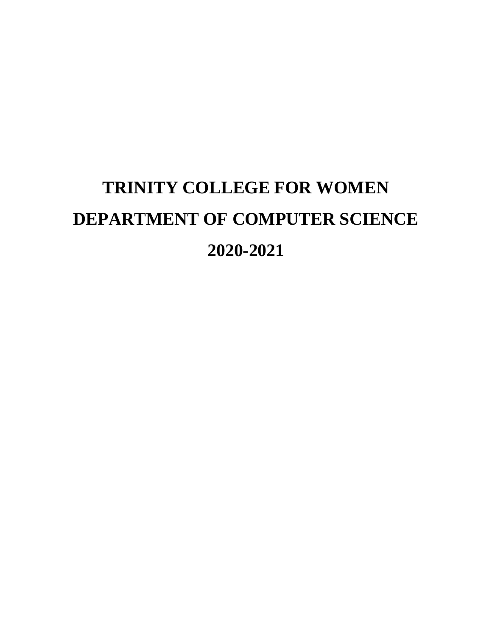# **TRINITY COLLEGE FOR WOMEN DEPARTMENT OF COMPUTER SCIENCE 2020-2021**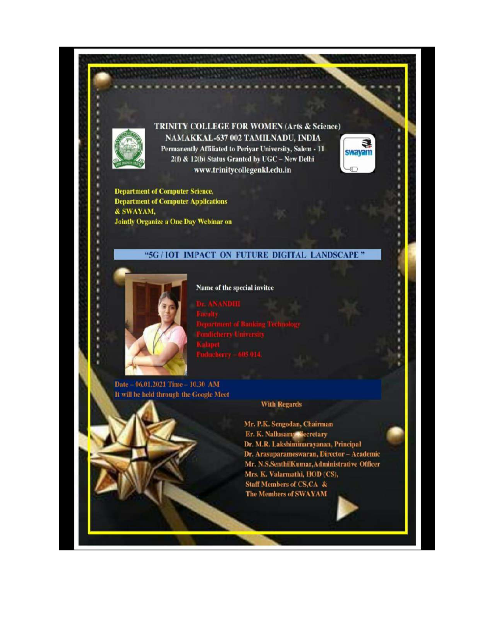#### **TRINITY COLLEGE FOR WOMEN (Arts & Science)** NAMAKKAL-637 002 TAMILNADU, INDIA Permanently Affiliated to Periyar University, Salem - 11 2(f) & 12(b) Status Granted by UGC - New Delhi

www.trinitycollegenkl.edu.in

**Department of Computer Science, Department of Computer Applications** & SWAYAM, **Jointly Organize a One Day Webinar on** 

## "5G/IOT IMPACT ON FUTURE DIGITAL LANDSCAPE"



Name of the special invitee

**Commission** answer

Date - 06.01.2021 Time - 10.30 AM It will be held through the Google Meet

#### **With Regards**

Mr. P.K. Sengodan, Chairman Er. K. Nallusam Secretary Dr. M.R. Lakshiminarayanan, Principal Dr. Arasuparameswaran, Director - Academic Mr. N.S.SenthilKumar,Administrative Officer Mrs. K. Valarmathi, HOD (CS), **Staff Members of CS,CA &** The Members of SWAYAM

3

swayam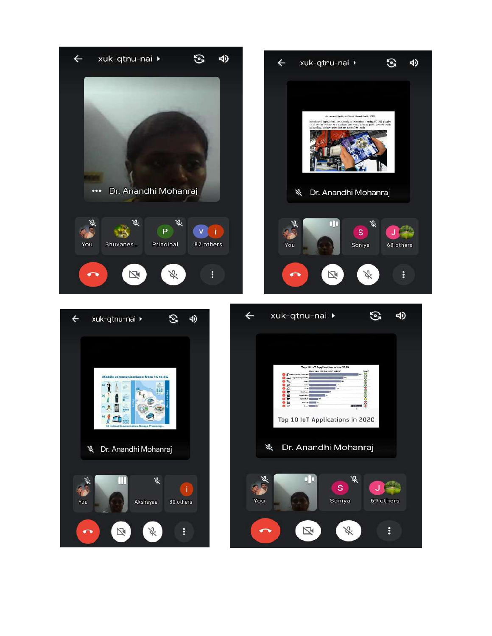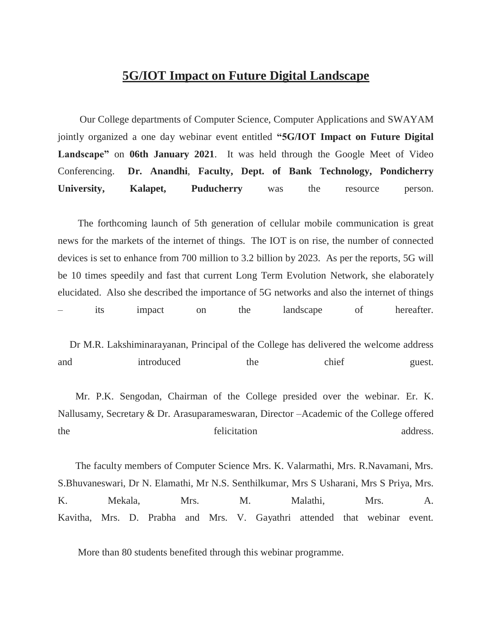# **5G/IOT Impact on Future Digital Landscape**

 Our College departments of Computer Science, Computer Applications and SWAYAM jointly organized a one day webinar event entitled **"5G/IOT Impact on Future Digital Landscape"** on **06th January 2021**. It was held through the Google Meet of Video Conferencing. **Dr. Anandhi**, **Faculty, Dept. of Bank Technology, Pondicherry University, Kalapet, Puducherry** was the resource person.

 The forthcoming launch of 5th generation of cellular mobile communication is great news for the markets of the internet of things. The IOT is on rise, the number of connected devices is set to enhance from 700 million to 3.2 billion by 2023. As per the reports, 5G will be 10 times speedily and fast that current Long Term Evolution Network, she elaborately elucidated. Also she described the importance of 5G networks and also the internet of things – its impact on the landscape of hereafter.

 Dr M.R. Lakshiminarayanan, Principal of the College has delivered the welcome address and introduced the chief guest.

 Mr. P.K. Sengodan, Chairman of the College presided over the webinar. Er. K. Nallusamy, Secretary & Dr. Arasuparameswaran, Director –Academic of the College offered the felicitation felicitation address.

 The faculty members of Computer Science Mrs. K. Valarmathi, Mrs. R.Navamani, Mrs. S.Bhuvaneswari, Dr N. Elamathi, Mr N.S. Senthilkumar, Mrs S Usharani, Mrs S Priya, Mrs. K. Mekala, Mrs. M. Malathi, Mrs. A. Kavitha, Mrs. D. Prabha and Mrs. V. Gayathri attended that webinar event.

More than 80 students benefited through this webinar programme.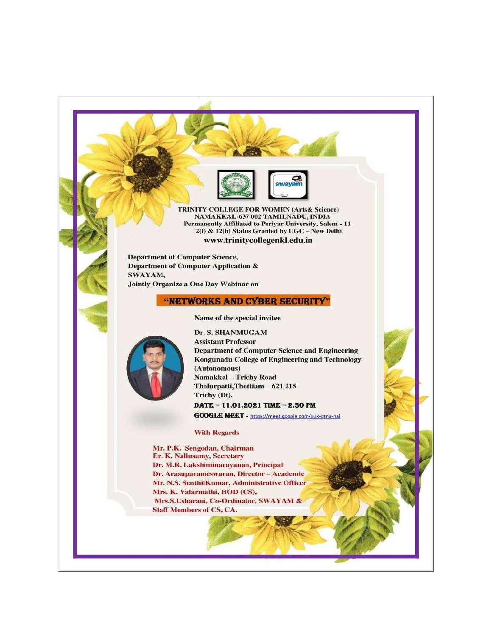

**TRINITY COLLEGE FOR WOMEN (Arts& Science)** NAMAKKAL-637 002 TAMILNADU, INDIA Permanently Affiliated to Periyar University, Salem - 11 2(f) & 12(b) Status Granted by UGC - New Delhi www.trinitycollegenkl.edu.in

**Department of Computer Science, Department of Computer Application &** SWAYAM, **Jointly Organize a One Day Webinar on** 

#### "NETWORKS AND CYBER SECURITY"

Name of the special invitee



Dr. S. SHANMUGAM **Assistant Professor Department of Computer Science and Engineering Kongunadu College of Engineering and Technology** (Autonomous) Namakkal - Trichy Road Tholurpatti, Thottiam - 621 215 Trichy (Dt). DATE - 11.01.2021 TIME - 2.30 PM GOOGLE MEET - https://meet.google.com/xuk-qtnu-nai

**With Regards** 

Mr. P.K. Sengodan, Chairman Er. K. Nallusamy, Secretary Dr. M.R. Lakshiminarayanan, Principal Dr. Arasuparameswaran, Director - Academic Mr. N.S. SenthilKumar, Administrative Officer Mrs. K. Valarmathi, HOD (CS), Mrs.S.Usharani, Co-Ordinator, SWAYAM & **Staff Members of CS, CA.**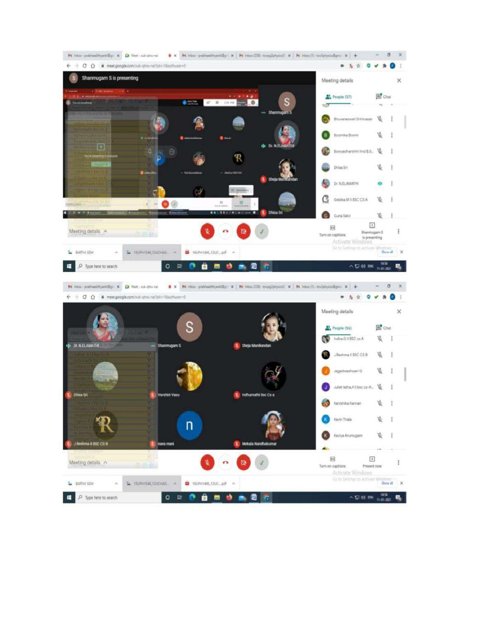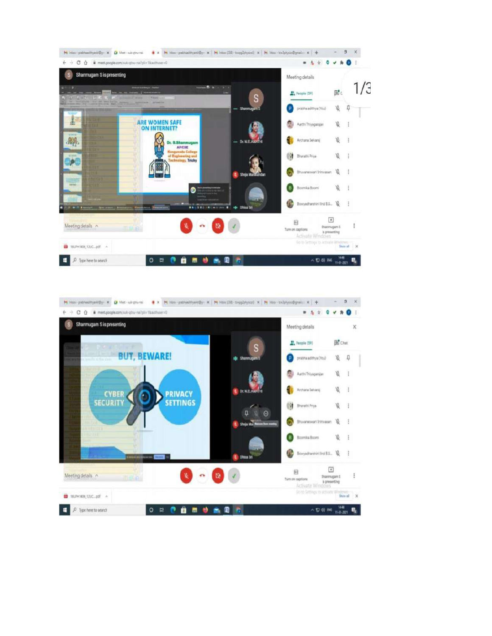

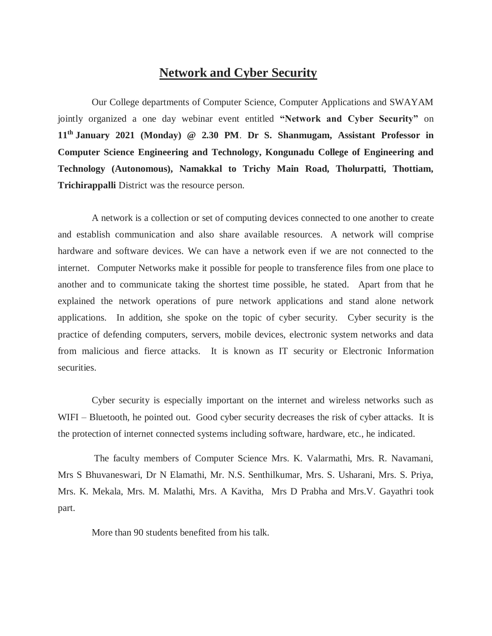## **Network and Cyber Security**

 Our College departments of Computer Science, Computer Applications and SWAYAM jointly organized a one day webinar event entitled **"Network and Cyber Security"** on **11th January 2021 (Monday) @ 2.30 PM**. **Dr S. Shanmugam, Assistant Professor in Computer Science Engineering and Technology, Kongunadu College of Engineering and Technology (Autonomous), Namakkal to Trichy Main Road, Tholurpatti, Thottiam, Trichirappalli** District was the resource person.

 A network is a collection or set of computing devices connected to one another to create and establish communication and also share available resources. A network will comprise hardware and software devices. We can have a network even if we are not connected to the internet. Computer Networks make it possible for people to transference files from one place to another and to communicate taking the shortest time possible, he stated. Apart from that he explained the network operations of pure network applications and stand alone network applications. In addition, she spoke on the topic of cyber security. Cyber security is the practice of defending computers, servers, mobile devices, electronic system networks and data from malicious and fierce attacks. It is known as IT security or Electronic Information securities.

 Cyber security is especially important on the internet and wireless networks such as WIFI – Bluetooth, he pointed out. Good cyber security decreases the risk of cyber attacks. It is the protection of internet connected systems including software, hardware, etc., he indicated.

 The faculty members of Computer Science Mrs. K. Valarmathi, Mrs. R. Navamani, Mrs S Bhuvaneswari, Dr N Elamathi, Mr. N.S. Senthilkumar, Mrs. S. Usharani, Mrs. S. Priya, Mrs. K. Mekala, Mrs. M. Malathi, Mrs. A Kavitha, Mrs D Prabha and Mrs.V. Gayathri took part.

More than 90 students benefited from his talk.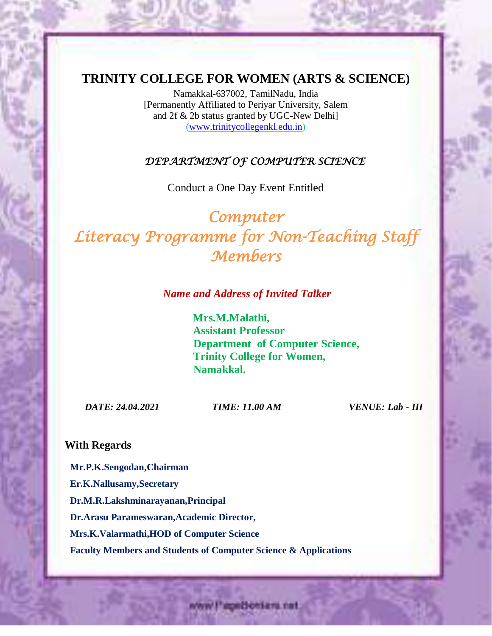**TRINITY COLLEGE FOR WOMEN (ARTS & SCIENCE)**

Namakkal-637002, TamilNadu, India [Permanently Affiliated to Periyar University, Salem and 2f & 2b status granted by UGC-New Delhi] [\(www.trinitycollegenkl.edu.in\)](http://www.trinitycollegenkl.edu.in/)

# *DEPARTMENT OF COMPUTER SCIENCE*

Conduct a One Day Event Entitled

*Computer Literacy Programme for Non-Teaching Staff Members*

*Name and Address of Invited Talker*

 **Mrs.M.Malathi, Assistant Professor Department of Computer Science, Trinity College for Women, Namakkal.**

www.PapeBonters.net

 *DATE: 24.04.2021 TIME: 11.00 AM VENUE: Lab - III* 

## **With Regards**

 **Mr.P.K.Sengodan,Chairman Er.K.Nallusamy,Secretary Dr.M.R.Lakshminarayanan,Principal Dr.Arasu Parameswaran,Academic Director, Mrs.K.Valarmathi,HOD of Computer Science Faculty Members and Students of Computer Science & Applications**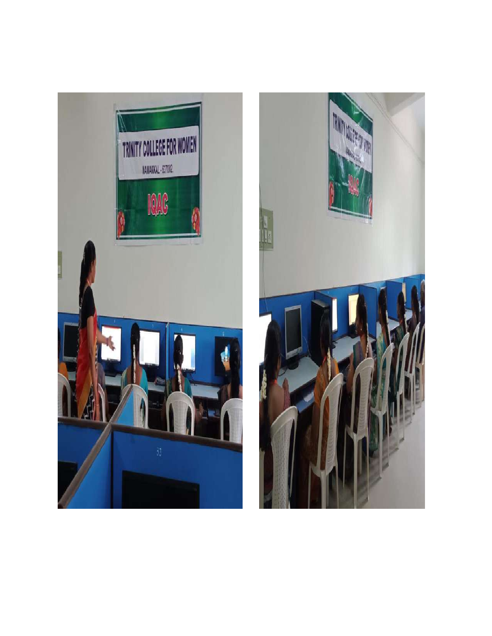